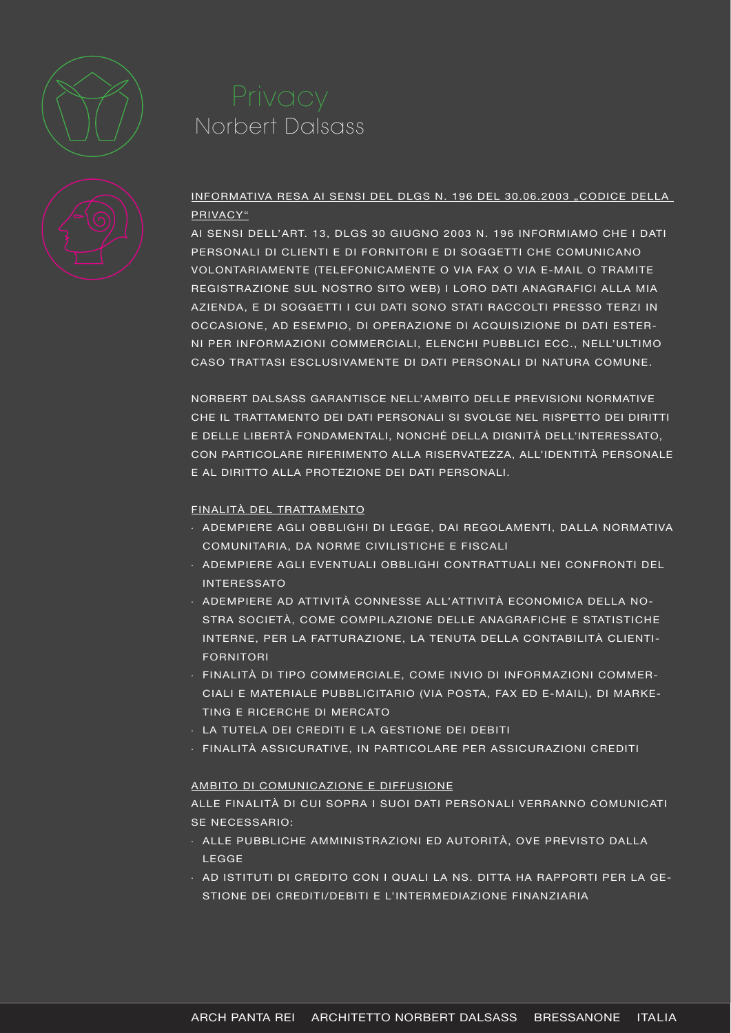

# Norbert Dalsass



### INFORMATIVA RESA AI SENSI DEL DLGS N. 196 DEL 30.06.2003 "CODICE DELLA PRIVACY"

AI SENSI DELL'ART. 13, DLGS 30 GIUGNO 2003 N. 196 INFORMIAMO CHE I DATI PERSONALI DI CLIENTI E DI FORNITORI E DI SOGGETTI CHE COMUNICANO VOLONTARIAMENTE (TELEFONICAMENTE O VIA FAX O VIA E-MAIL O TRAMITE REGISTRAZIONE SUL NOSTRO SITO WEB) I LORO DATI ANAGRAFICI ALLA MIA AZIENDA, E DI SOGGETTI I CUI DATI SONO STATI RACCOLTI PRESSO TERZI IN OCCASIONE, AD ESEMPIO, DI OPERAZIONE DI ACQUISIZIONE DI DATI ESTER-NI PER INFORMAZIONI COMMERCIALI, ELENCHI PUBBLICI ECC., NELL'ULTIMO CASO TRATTASI ESCLUSIVAMENTE DI DATI PERSONALI DI NATURA COMUNE.

NORBERT DALSASS GARANTISCE NELL'AMBITO DELLE PREVISIONI NORMATIVE CHE IL TRATTAMENTO DEI DATI PERSONALI SI SVOLGE NEL RISPETTO DEI DIRITTI E DELLE LIBERTÀ FONDAMENTALI, NONCHÉ DELLA DIGNITÀ DELL'INTERESSATO, CON PARTICOLARE RIFERIMENTO ALLA RISERVATEZZA, ALL'IDENTITÀ PERSONALE E AL DIRITTO ALLA PROTEZIONE DEI DATI PERSONALI.

### FINALITÀ DEL TRATTAMENTO

- · ADEMPIERE AGLI OBBLIGHI DI LEGGE, DAI REGOLAMENTI, DALLA NORMATIVA COMUNITARIA, DA NORME CIVILISTICHE E FISCALI
- · ADEMPIERE AGLI EVENTUALI OBBLIGHI CONTRATTUALI NEI CONFRONTI DEL INTERESSATO
- · ADEMPIERE AD ATTIVITÀ CONNESSE ALL'ATTIVITÀ ECONOMICA DELLA NO-STRA SOCIETÀ, COME COMPILAZIONE DELLE ANAGRAFICHE E STATISTICHE INTERNE, PER LA FATTURAZIONE, LA TENUTA DELLA CONTABILITÀ CLIENTI-FORNITORI
- · FINALITÀ DI TIPO COMMERCIALE, COME INVIO DI INFORMAZIONI COMMER-CIALI E MATERIALE PUBBLICITARIO (VIA POSTA, FAX ED E-MAIL), DI MARKE-TING E RICERCHE DI MERCATO
- · LA TUTELA DEI CREDITI E LA GESTIONE DEI DEBITI
- · FINALITÀ ASSICURATIVE, IN PARTICOLARE PER ASSICURAZIONI CREDITI

### AMBITO DI COMUNICAZIONE E DIFFUSIONE

ALLE FINALITÀ DI CUI SOPRA I SUOI DATI PERSONALI VERRANNO COMUNICATI SE NECESSARIO:

- · ALLE PUBBLICHE AMMINISTRAZIONI ED AUTORITÀ, OVE PREVISTO DALLA LEGGE
- · AD ISTITUTI DI CREDITO CON I QUALI LA NS. DITTA HA RAPPORTI PER LA GE-STIONE DEI CREDITI/DEBITI E L'INTERMEDIAZIONE FINANZIARIA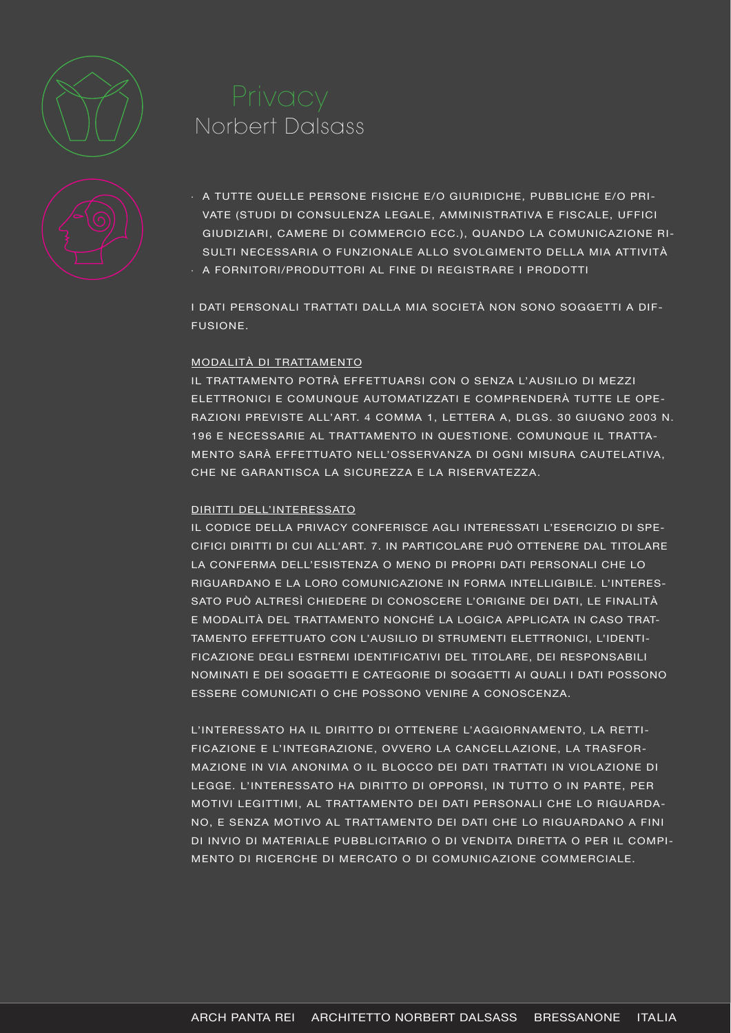

## Norbert Dalsass



- · A TUTTE QUELLE PERSONE FISICHE E/O GIURIDICHE, PUBBLICHE E/O PRI-VATE (STUDI DI CONSULENZA LEGALE, AMMINISTRATIVA E FISCALE, UFFICI GIUDIZIARI, CAMERE DI COMMERCIO ECC.), QUANDO LA COMUNICAZIONE RI-SULTI NECESSARIA O FUNZIONALE ALLO SVOLGIMENTO DELLA MIA ATTIVITÀ
- · A FORNITORI/PRODUTTORI AL FINE DI REGISTRARE I PRODOTTI

I DATI PERSONALI TRATTATI DALLA MIA SOCIETÀ NON SONO SOGGETTI A DIF-FUSIONE.

#### MODALITÀ DI TRATTAMENTO

IL TRATTAMENTO POTRÀ EFFETTUARSI CON O SENZA L'AUSILIO DI MEZZI ELETTRONICI E COMUNQUE AUTOMATIZZATI E COMPRENDERÀ TUTTE LE OPE-RAZIONI PREVISTE ALL'ART. 4 COMMA 1, LETTERA A, DLGS. 30 GIUGNO 2003 N. 196 E NECESSARIE AL TRATTAMENTO IN QUESTIONE. COMUNQUE IL TRATTA-MENTO SARÀ EFFETTUATO NELL'OSSERVANZA DI OGNI MISURA CAUTELATIVA, CHE NE GARANTISCA LA SICUREZZA E LA RISERVATEZZA.

#### DIRITTI DELL'INTERESSATO

IL CODICE DELLA PRIVACY CONFERISCE AGLI INTERESSATI L'ESERCIZIO DI SPE-CIFICI DIRITTI DI CUI ALL'ART. 7. IN PARTICOLARE PUÒ OTTENERE DAL TITOLARE LA CONFERMA DELL'ESISTENZA O MENO DI PROPRI DATI PERSONALI CHE LO RIGUARDANO E LA LORO COMUNICAZIONE IN FORMA INTELLIGIBILE. L'INTERES-SATO PUÒ ALTRESÌ CHIEDERE DI CONOSCERE L'ORIGINE DEI DATI, LE FINALITÀ E MODALITÀ DEL TRATTAMENTO NONCHÉ LA LOGICA APPLICATA IN CASO TRAT-TAMENTO EFFETTUATO CON L'AUSILIO DI STRUMENTI ELETTRONICI, L'IDENTI-FICAZIONE DEGLI ESTREMI IDENTIFICATIVI DEL TITOLARE, DEI RESPONSABILI NOMINATI E DEI SOGGETTI E CATEGORIE DI SOGGETTI AI QUALI I DATI POSSONO ESSERE COMUNICATI O CHE POSSONO VENIRE A CONOSCENZA.

L'INTERESSATO HA IL DIRITTO DI OTTENERE L'AGGIORNAMENTO, LA RETTI-FICAZIONE E L'INTEGRAZIONE, OVVERO LA CANCELLAZIONE, LA TRASFOR-MAZIONE IN VIA ANONIMA O IL BLOCCO DEI DATI TRATTATI IN VIOLAZIONE DI LEGGE. L'INTERESSATO HA DIRITTO DI OPPORSI, IN TUTTO O IN PARTE, PER MOTIVI LEGITTIMI, AL TRATTAMENTO DEI DATI PERSONALI CHE LO RIGUARDA-NO, E SENZA MOTIVO AL TRATTAMENTO DEI DATI CHE LO RIGUARDANO A FINI DI INVIO DI MATERIALE PUBBLICITARIO O DI VENDITA DIRETTA O PER IL COMPI-MENTO DI RICERCHE DI MERCATO O DI COMUNICAZIONE COMMERCIALE.